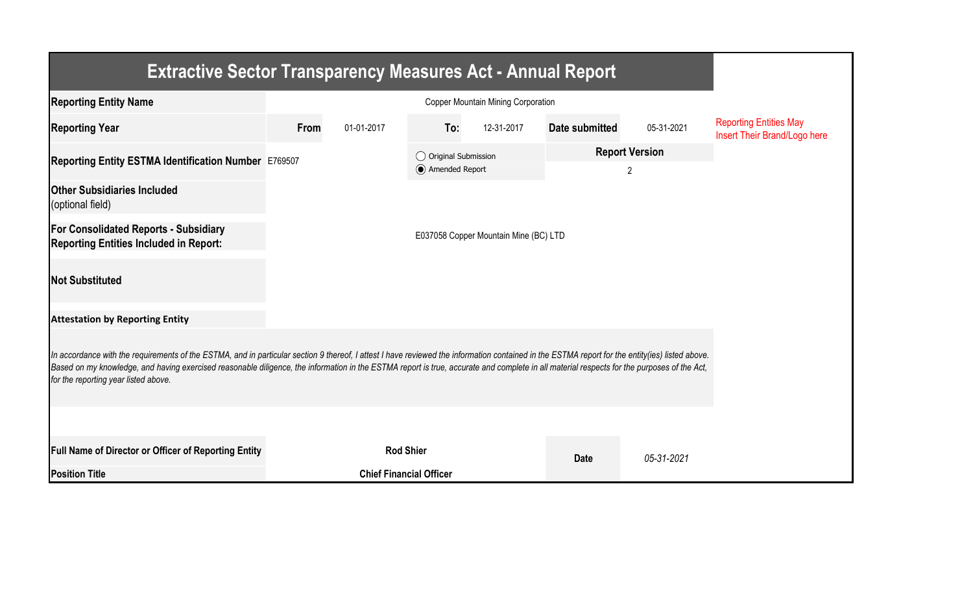| <b>Extractive Sector Transparency Measures Act - Annual Report</b>                                                                                                                                                                                                                                                                                                                                                                    |                                       |                                |                                         |            |                |                            |                                                               |  |  |  |  |
|---------------------------------------------------------------------------------------------------------------------------------------------------------------------------------------------------------------------------------------------------------------------------------------------------------------------------------------------------------------------------------------------------------------------------------------|---------------------------------------|--------------------------------|-----------------------------------------|------------|----------------|----------------------------|---------------------------------------------------------------|--|--|--|--|
| <b>Reporting Entity Name</b>                                                                                                                                                                                                                                                                                                                                                                                                          |                                       |                                |                                         |            |                |                            |                                                               |  |  |  |  |
| <b>Reporting Year</b>                                                                                                                                                                                                                                                                                                                                                                                                                 | From                                  | 01-01-2017                     | To:                                     | 12-31-2017 | Date submitted | 05-31-2021                 | <b>Reporting Entities May</b><br>Insert Their Brand/Logo here |  |  |  |  |
| Reporting Entity ESTMA Identification Number E769507                                                                                                                                                                                                                                                                                                                                                                                  |                                       |                                | ◯ Original Submission<br>Amended Report |            |                | <b>Report Version</b><br>2 |                                                               |  |  |  |  |
| <b>Other Subsidiaries Included</b><br>(optional field)                                                                                                                                                                                                                                                                                                                                                                                |                                       |                                |                                         |            |                |                            |                                                               |  |  |  |  |
| <b>For Consolidated Reports - Subsidiary</b><br><b>Reporting Entities Included in Report:</b>                                                                                                                                                                                                                                                                                                                                         | E037058 Copper Mountain Mine (BC) LTD |                                |                                         |            |                |                            |                                                               |  |  |  |  |
| <b>Not Substituted</b>                                                                                                                                                                                                                                                                                                                                                                                                                |                                       |                                |                                         |            |                |                            |                                                               |  |  |  |  |
| <b>Attestation by Reporting Entity</b>                                                                                                                                                                                                                                                                                                                                                                                                |                                       |                                |                                         |            |                |                            |                                                               |  |  |  |  |
| In accordance with the requirements of the ESTMA, and in particular section 9 thereof, I attest I have reviewed the information contained in the ESTMA report for the entity(ies) listed above.<br>Based on my knowledge, and having exercised reasonable diligence, the information in the ESTMA report is true, accurate and complete in all material respects for the purposes of the Act,<br>for the reporting year listed above. |                                       |                                |                                         |            |                |                            |                                                               |  |  |  |  |
|                                                                                                                                                                                                                                                                                                                                                                                                                                       |                                       |                                |                                         |            |                |                            |                                                               |  |  |  |  |
| <b>Full Name of Director or Officer of Reporting Entity</b>                                                                                                                                                                                                                                                                                                                                                                           |                                       | <b>Rod Shier</b>               |                                         |            | <b>Date</b>    | 05-31-2021                 |                                                               |  |  |  |  |
| <b>Position Title</b>                                                                                                                                                                                                                                                                                                                                                                                                                 |                                       | <b>Chief Financial Officer</b> |                                         |            |                |                            |                                                               |  |  |  |  |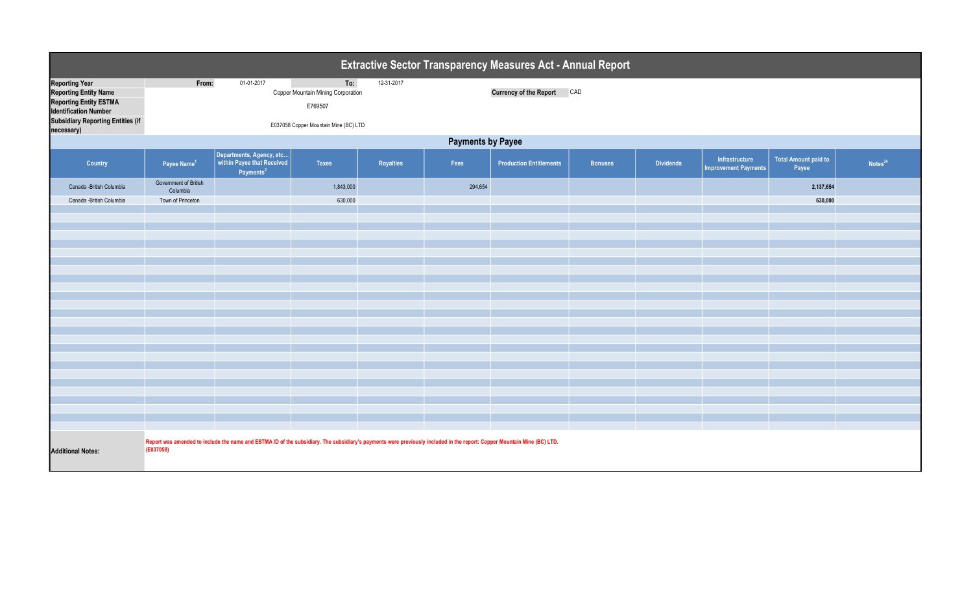| <b>Extractive Sector Transparency Measures Act - Annual Report</b>                                                                                                               |                                                                                                                                                                                      |                                                                                 |                                                                                               |            |         |                                |                |                  |                                               |                                      |                     |  |  |
|----------------------------------------------------------------------------------------------------------------------------------------------------------------------------------|--------------------------------------------------------------------------------------------------------------------------------------------------------------------------------------|---------------------------------------------------------------------------------|-----------------------------------------------------------------------------------------------|------------|---------|--------------------------------|----------------|------------------|-----------------------------------------------|--------------------------------------|---------------------|--|--|
| <b>Reporting Year</b><br><b>Reporting Entity Name</b><br><b>Reporting Entity ESTMA</b><br><b>Identification Number</b><br><b>Subsidiary Reporting Entities (if</b><br>necessary) | From:                                                                                                                                                                                | 01-01-2017                                                                      | To:<br>Copper Mountain Mining Corporation<br>E769507<br>E037058 Copper Mountain Mine (BC) LTD | 12-31-2017 |         | <b>Currency of the Report</b>  | CAD            |                  |                                               |                                      |                     |  |  |
|                                                                                                                                                                                  | <b>Payments by Payee</b>                                                                                                                                                             |                                                                                 |                                                                                               |            |         |                                |                |                  |                                               |                                      |                     |  |  |
| Country                                                                                                                                                                          | Payee Name <sup>1</sup>                                                                                                                                                              | Departments, Agency, etc<br>within Payee that Received<br>Payments <sup>2</sup> | <b>Taxes</b>                                                                                  | Royalties  | Fees    | <b>Production Entitlements</b> | <b>Bonuses</b> | <b>Dividends</b> | Infrastructure<br><b>Improvement Payments</b> | <b>Total Amount paid to</b><br>Payee | Notes <sup>34</sup> |  |  |
| Canada - British Columbia<br>Canada - British Columbia                                                                                                                           | Government of British<br>Columbia<br>Town of Princeton                                                                                                                               |                                                                                 | 1,843,000<br>630,000                                                                          |            | 294,654 |                                |                |                  |                                               | 2,137,654<br>630,000                 |                     |  |  |
|                                                                                                                                                                                  |                                                                                                                                                                                      |                                                                                 |                                                                                               |            |         |                                |                |                  |                                               |                                      |                     |  |  |
|                                                                                                                                                                                  |                                                                                                                                                                                      |                                                                                 |                                                                                               |            |         |                                |                |                  |                                               |                                      |                     |  |  |
|                                                                                                                                                                                  |                                                                                                                                                                                      |                                                                                 |                                                                                               |            |         |                                |                |                  |                                               |                                      |                     |  |  |
|                                                                                                                                                                                  |                                                                                                                                                                                      |                                                                                 |                                                                                               |            |         |                                |                |                  |                                               |                                      |                     |  |  |
|                                                                                                                                                                                  |                                                                                                                                                                                      |                                                                                 |                                                                                               |            |         |                                |                |                  |                                               |                                      |                     |  |  |
|                                                                                                                                                                                  |                                                                                                                                                                                      |                                                                                 |                                                                                               |            |         |                                |                |                  |                                               |                                      |                     |  |  |
|                                                                                                                                                                                  |                                                                                                                                                                                      |                                                                                 |                                                                                               |            |         |                                |                |                  |                                               |                                      |                     |  |  |
|                                                                                                                                                                                  |                                                                                                                                                                                      |                                                                                 |                                                                                               |            |         |                                |                |                  |                                               |                                      |                     |  |  |
|                                                                                                                                                                                  |                                                                                                                                                                                      |                                                                                 |                                                                                               |            |         |                                |                |                  |                                               |                                      |                     |  |  |
|                                                                                                                                                                                  |                                                                                                                                                                                      |                                                                                 |                                                                                               |            |         |                                |                |                  |                                               |                                      |                     |  |  |
|                                                                                                                                                                                  |                                                                                                                                                                                      |                                                                                 |                                                                                               |            |         |                                |                |                  |                                               |                                      |                     |  |  |
|                                                                                                                                                                                  |                                                                                                                                                                                      |                                                                                 |                                                                                               |            |         |                                |                |                  |                                               |                                      |                     |  |  |
|                                                                                                                                                                                  |                                                                                                                                                                                      |                                                                                 |                                                                                               |            |         |                                |                |                  |                                               |                                      |                     |  |  |
|                                                                                                                                                                                  |                                                                                                                                                                                      |                                                                                 |                                                                                               |            |         |                                |                |                  |                                               |                                      |                     |  |  |
|                                                                                                                                                                                  |                                                                                                                                                                                      |                                                                                 |                                                                                               |            |         |                                |                |                  |                                               |                                      |                     |  |  |
|                                                                                                                                                                                  |                                                                                                                                                                                      |                                                                                 |                                                                                               |            |         |                                |                |                  |                                               |                                      |                     |  |  |
|                                                                                                                                                                                  |                                                                                                                                                                                      |                                                                                 |                                                                                               |            |         |                                |                |                  |                                               |                                      |                     |  |  |
|                                                                                                                                                                                  |                                                                                                                                                                                      |                                                                                 |                                                                                               |            |         |                                |                |                  |                                               |                                      |                     |  |  |
| <b>Additional Notes:</b>                                                                                                                                                         | Report was amended to include the name and ESTMA ID of the subsidiary. The subsidiary's payments were previously included in the report: Copper Mountain Mine (BC) LTD.<br>(E037058) |                                                                                 |                                                                                               |            |         |                                |                |                  |                                               |                                      |                     |  |  |